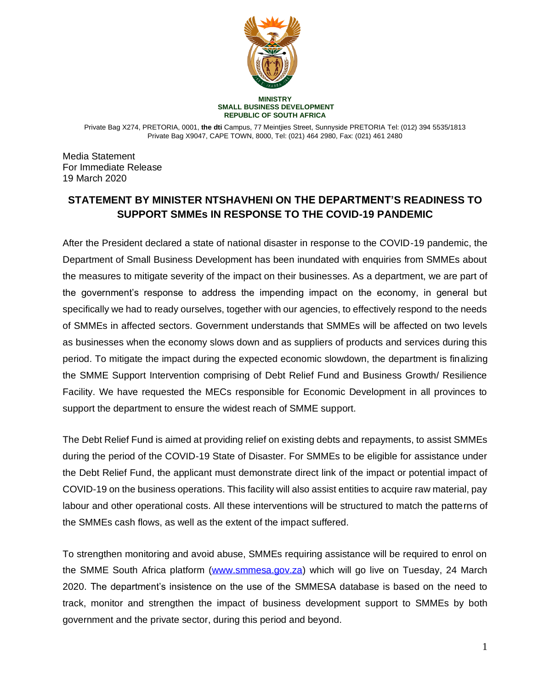

**MINISTRY SMALL BUSINESS DEVELOPMENT REPUBLIC OF SOUTH AFRICA**

Private Bag X274, PRETORIA, 0001, **the dti** Campus, 77 Meintjies Street, Sunnyside PRETORIA Tel: (012) 394 5535/1813 Private Bag X9047, CAPE TOWN, 8000, Tel: (021) 464 2980, Fax: (021) 461 2480

Media Statement For Immediate Release 19 March 2020

## **STATEMENT BY MINISTER NTSHAVHENI ON THE DEPARTMENT'S READINESS TO SUPPORT SMMEs IN RESPONSE TO THE COVID-19 PANDEMIC**

After the President declared a state of national disaster in response to the COVID-19 pandemic, the Department of Small Business Development has been inundated with enquiries from SMMEs about the measures to mitigate severity of the impact on their businesses. As a department, we are part of the government's response to address the impending impact on the economy, in general but specifically we had to ready ourselves, together with our agencies, to effectively respond to the needs of SMMEs in affected sectors. Government understands that SMMEs will be affected on two levels as businesses when the economy slows down and as suppliers of products and services during this period. To mitigate the impact during the expected economic slowdown, the department is finalizing the SMME Support Intervention comprising of Debt Relief Fund and Business Growth/ Resilience Facility. We have requested the MECs responsible for Economic Development in all provinces to support the department to ensure the widest reach of SMME support.

The Debt Relief Fund is aimed at providing relief on existing debts and repayments, to assist SMMEs during the period of the COVID-19 State of Disaster. For SMMEs to be eligible for assistance under the Debt Relief Fund, the applicant must demonstrate direct link of the impact or potential impact of COVID-19 on the business operations. This facility will also assist entities to acquire raw material, pay labour and other operational costs. All these interventions will be structured to match the patterns of the SMMEs cash flows, as well as the extent of the impact suffered.

To strengthen monitoring and avoid abuse, SMMEs requiring assistance will be required to enrol on the SMME South Africa platform [\(www.smmesa.gov.za\)](http://www.smmesa.gov.za/) which will go live on Tuesday, 24 March 2020. The department's insistence on the use of the SMMESA database is based on the need to track, monitor and strengthen the impact of business development support to SMMEs by both government and the private sector, during this period and beyond.